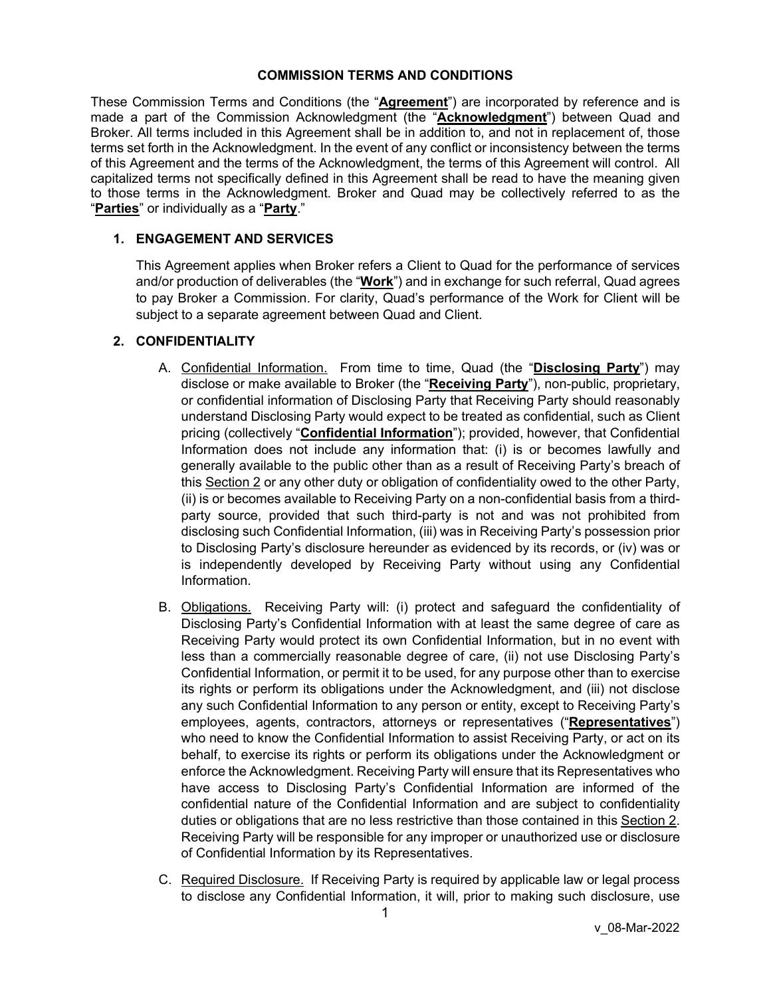#### **COMMISSION TERMS AND CONDITIONS**

These Commission Terms and Conditions (the "**Agreement**") are incorporated by reference and is made a part of the Commission Acknowledgment (the "**Acknowledgment**") between Quad and Broker. All terms included in this Agreement shall be in addition to, and not in replacement of, those terms set forth in the Acknowledgment. In the event of any conflict or inconsistency between the terms of this Agreement and the terms of the Acknowledgment, the terms of this Agreement will control. All capitalized terms not specifically defined in this Agreement shall be read to have the meaning given to those terms in the Acknowledgment. Broker and Quad may be collectively referred to as the "**Parties**" or individually as a "**Party**."

# **1. ENGAGEMENT AND SERVICES**

This Agreement applies when Broker refers a Client to Quad for the performance of services and/or production of deliverables (the "**Work**") and in exchange for such referral, Quad agrees to pay Broker a Commission. For clarity, Quad's performance of the Work for Client will be subject to a separate agreement between Quad and Client.

### **2. CONFIDENTIALITY**

- A. Confidential Information. From time to time, Quad (the "**Disclosing Party**") may disclose or make available to Broker (the "**Receiving Party**"), non-public, proprietary, or confidential information of Disclosing Party that Receiving Party should reasonably understand Disclosing Party would expect to be treated as confidential, such as Client pricing (collectively "**Confidential Information**"); provided, however, that Confidential Information does not include any information that: (i) is or becomes lawfully and generally available to the public other than as a result of Receiving Party's breach of this Section 2 or any other duty or obligation of confidentiality owed to the other Party, (ii) is or becomes available to Receiving Party on a non-confidential basis from a thirdparty source, provided that such third-party is not and was not prohibited from disclosing such Confidential Information, (iii) was in Receiving Party's possession prior to Disclosing Party's disclosure hereunder as evidenced by its records, or (iv) was or is independently developed by Receiving Party without using any Confidential Information.
- B. Obligations. Receiving Party will: (i) protect and safeguard the confidentiality of Disclosing Party's Confidential Information with at least the same degree of care as Receiving Party would protect its own Confidential Information, but in no event with less than a commercially reasonable degree of care, (ii) not use Disclosing Party's Confidential Information, or permit it to be used, for any purpose other than to exercise its rights or perform its obligations under the Acknowledgment, and (iii) not disclose any such Confidential Information to any person or entity, except to Receiving Party's employees, agents, contractors, attorneys or representatives ("**Representatives**") who need to know the Confidential Information to assist Receiving Party, or act on its behalf, to exercise its rights or perform its obligations under the Acknowledgment or enforce the Acknowledgment. Receiving Party will ensure that its Representatives who have access to Disclosing Party's Confidential Information are informed of the confidential nature of the Confidential Information and are subject to confidentiality duties or obligations that are no less restrictive than those contained in this Section 2. Receiving Party will be responsible for any improper or unauthorized use or disclosure of Confidential Information by its Representatives.
- C. Required Disclosure. If Receiving Party is required by applicable law or legal process to disclose any Confidential Information, it will, prior to making such disclosure, use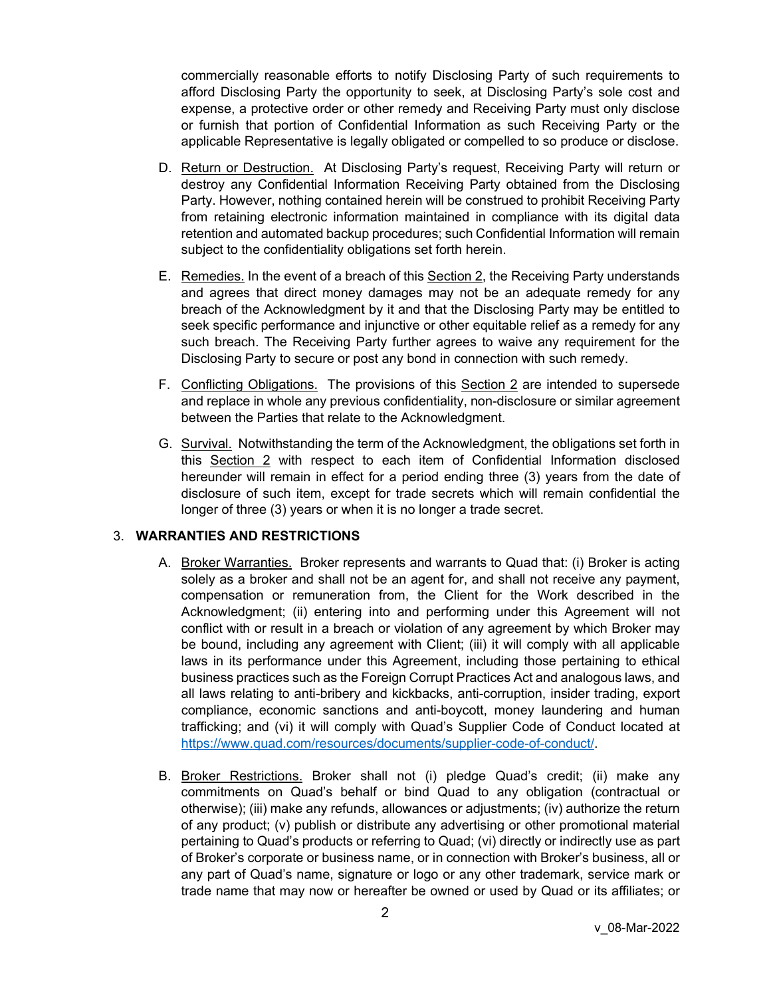commercially reasonable efforts to notify Disclosing Party of such requirements to afford Disclosing Party the opportunity to seek, at Disclosing Party's sole cost and expense, a protective order or other remedy and Receiving Party must only disclose or furnish that portion of Confidential Information as such Receiving Party or the applicable Representative is legally obligated or compelled to so produce or disclose.

- D. Return or Destruction. At Disclosing Party's request, Receiving Party will return or destroy any Confidential Information Receiving Party obtained from the Disclosing Party. However, nothing contained herein will be construed to prohibit Receiving Party from retaining electronic information maintained in compliance with its digital data retention and automated backup procedures; such Confidential Information will remain subject to the confidentiality obligations set forth herein.
- E. Remedies. In the event of a breach of this Section 2, the Receiving Party understands and agrees that direct money damages may not be an adequate remedy for any breach of the Acknowledgment by it and that the Disclosing Party may be entitled to seek specific performance and injunctive or other equitable relief as a remedy for any such breach. The Receiving Party further agrees to waive any requirement for the Disclosing Party to secure or post any bond in connection with such remedy.
- F. Conflicting Obligations. The provisions of this Section 2 are intended to supersede and replace in whole any previous confidentiality, non-disclosure or similar agreement between the Parties that relate to the Acknowledgment.
- G. Survival. Notwithstanding the term of the Acknowledgment, the obligations set forth in this Section 2 with respect to each item of Confidential Information disclosed hereunder will remain in effect for a period ending three (3) years from the date of disclosure of such item, except for trade secrets which will remain confidential the longer of three (3) years or when it is no longer a trade secret.

### 3. **WARRANTIES AND RESTRICTIONS**

- A. Broker Warranties. Broker represents and warrants to Quad that: (i) Broker is acting solely as a broker and shall not be an agent for, and shall not receive any payment, compensation or remuneration from, the Client for the Work described in the Acknowledgment; (ii) entering into and performing under this Agreement will not conflict with or result in a breach or violation of any agreement by which Broker may be bound, including any agreement with Client; (iii) it will comply with all applicable laws in its performance under this Agreement, including those pertaining to ethical business practices such as the Foreign Corrupt Practices Act and analogous laws, and all laws relating to anti-bribery and kickbacks, anti-corruption, insider trading, export compliance, economic sanctions and anti-boycott, money laundering and human trafficking; and (vi) it will comply with Quad's Supplier Code of Conduct located at [https://www.quad.com/resources/documents/supplier-code-of-conduct/.](https://www.quad.com/resources/documents/supplier-code-of-conduct/)
- B. Broker Restrictions. Broker shall not (i) pledge Quad's credit; (ii) make any commitments on Quad's behalf or bind Quad to any obligation (contractual or otherwise); (iii) make any refunds, allowances or adjustments; (iv) authorize the return of any product; (v) publish or distribute any advertising or other promotional material pertaining to Quad's products or referring to Quad; (vi) directly or indirectly use as part of Broker's corporate or business name, or in connection with Broker's business, all or any part of Quad's name, signature or logo or any other trademark, service mark or trade name that may now or hereafter be owned or used by Quad or its affiliates; or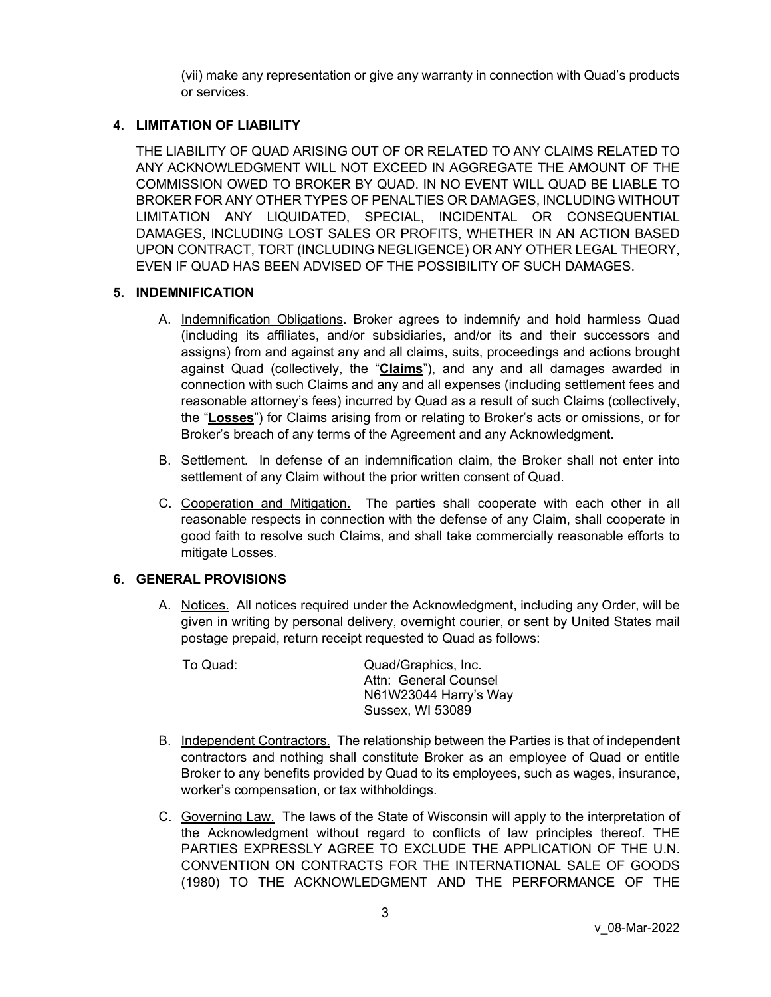(vii) make any representation or give any warranty in connection with Quad's products or services.

# **4. LIMITATION OF LIABILITY**

THE LIABILITY OF QUAD ARISING OUT OF OR RELATED TO ANY CLAIMS RELATED TO ANY ACKNOWLEDGMENT WILL NOT EXCEED IN AGGREGATE THE AMOUNT OF THE COMMISSION OWED TO BROKER BY QUAD. IN NO EVENT WILL QUAD BE LIABLE TO BROKER FOR ANY OTHER TYPES OF PENALTIES OR DAMAGES, INCLUDING WITHOUT LIMITATION ANY LIQUIDATED, SPECIAL, INCIDENTAL OR CONSEQUENTIAL DAMAGES, INCLUDING LOST SALES OR PROFITS, WHETHER IN AN ACTION BASED UPON CONTRACT, TORT (INCLUDING NEGLIGENCE) OR ANY OTHER LEGAL THEORY, EVEN IF QUAD HAS BEEN ADVISED OF THE POSSIBILITY OF SUCH DAMAGES.

### **5. INDEMNIFICATION**

- A. Indemnification Obligations. Broker agrees to indemnify and hold harmless Quad (including its affiliates, and/or subsidiaries, and/or its and their successors and assigns) from and against any and all claims, suits, proceedings and actions brought against Quad (collectively, the "**Claims**"), and any and all damages awarded in connection with such Claims and any and all expenses (including settlement fees and reasonable attorney's fees) incurred by Quad as a result of such Claims (collectively, the "**Losses**") for Claims arising from or relating to Broker's acts or omissions, or for Broker's breach of any terms of the Agreement and any Acknowledgment.
- B. Settlement. In defense of an indemnification claim, the Broker shall not enter into settlement of any Claim without the prior written consent of Quad.
- C. Cooperation and Mitigation. The parties shall cooperate with each other in all reasonable respects in connection with the defense of any Claim, shall cooperate in good faith to resolve such Claims, and shall take commercially reasonable efforts to mitigate Losses.

# **6. GENERAL PROVISIONS**

A. Notices. All notices required under the Acknowledgment, including any Order, will be given in writing by personal delivery, overnight courier, or sent by United States mail postage prepaid, return receipt requested to Quad as follows:

To Quad: Quad/Graphics, Inc. Attn: General Counsel N61W23044 Harry's Way Sussex, WI 53089

- B. Independent Contractors. The relationship between the Parties is that of independent contractors and nothing shall constitute Broker as an employee of Quad or entitle Broker to any benefits provided by Quad to its employees, such as wages, insurance, worker's compensation, or tax withholdings.
- C. Governing Law. The laws of the State of Wisconsin will apply to the interpretation of the Acknowledgment without regard to conflicts of law principles thereof. THE PARTIES EXPRESSLY AGREE TO EXCLUDE THE APPLICATION OF THE U.N. CONVENTION ON CONTRACTS FOR THE INTERNATIONAL SALE OF GOODS (1980) TO THE ACKNOWLEDGMENT AND THE PERFORMANCE OF THE